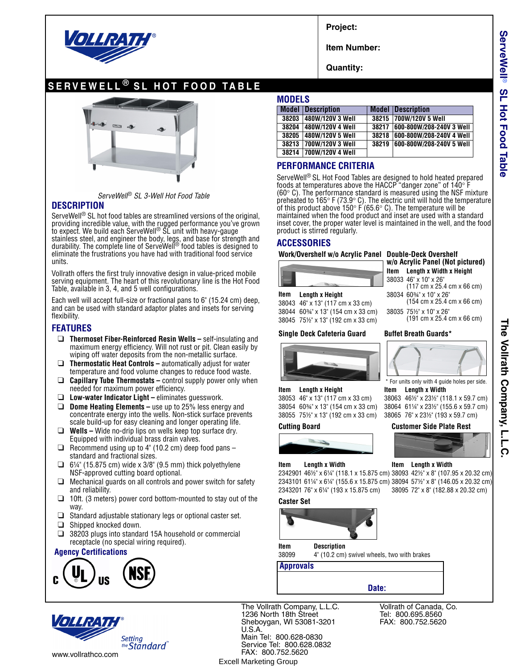

**Project:**

**Item Number:**

**Quantity:**

# **SERVEWELL ® SL HOT FOOD TABLE**



*ServeWell*® *SL 3-Well Hot Food Table*

## **DESCRIPTION**

ServeWell<sup>®</sup> SL hot food tables are streamlined versions of the original, providing incredible value, with the rugged performance you've grown<br>to expect. We build each ServeWell® SL unit with heavy-gauge stainless steel, and engineer the body, legs, and base for strength and durability. The complete line of ServeWell® food tables is designed to eliminate the frustrations you have had with traditional food service units.

Vollrath offers the first truly innovative design in value-priced mobile serving equipment. The heart of this revolutionary line is the Hot Food Table, available in 3, 4, and 5 well configurations.

Each well will accept full-size or fractional pans to 6" (15.24 cm) deep, and can be used with standard adaptor plates and insets for serving flexibility.

## **FEATURES**

- ❑ **Thermoset Fiber-Reinforced Resin Wells –** self-insulating and maximum energy efficiency. Will not rust or pit. Clean easily by wiping off water deposits from the non-metallic surface.
- ❑ **Thermostatic Heat Controls –** automatically adjust for water temperature and food volume changes to reduce food waste.
- ❑ **Capillary Tube Thermostats –** control supply power only when needed for maximum power efficiency.
- ❑ **Low-water Indicator Light** eliminates guesswork.
- ❑ **Dome Heating Elements –** use up to 25% less energy and concentrate energy into the wells. Non-stick surface prevents scale build-up for easy cleaning and longer operating life.
- ❑ **Wells –** Wide no-drip lips on wells keep top surface dry. Equipped with individual brass drain valves.
- $\Box$  Recommend using up to 4" (10.2 cm) deep food pans standard and fractional sizes.
- $\Box$  6¼" (15.875 cm) wide x 3/8" (9.5 mm) thick polyethylene NSF-approved cutting board optional.
- ❑ Mechanical guards on all controls and power switch for safety and reliability.
- $\Box$  10ft. (3 meters) power cord bottom-mounted to stay out of the way.
- ❑ Standard adjustable stationary legs or optional caster set.
- ❑ Shipped knocked down.
- ❑ 38203 plugs into standard 15A household or commercial receptacle (no special wiring required).

## **Agency Certifications**





The Vollrath Company, L.L.C. 1236 North 18th Street Sheboygan, WI 53081-3201 U.S.A. Main Tel: 800.628-0830 Service Tel: 800.628.0832 FAX: 800.752.5620 Excell Marketing Group

**MODELS**

|       | <b>Model Description</b> |  | <b>Model Description</b>       |  |  |  |  |  |  |  |
|-------|--------------------------|--|--------------------------------|--|--|--|--|--|--|--|
|       | 38203 480W/120V 3 Well   |  | 38215 700W/120V 5 Well         |  |  |  |  |  |  |  |
| 38204 | <b>480W/120V 4 Well</b>  |  | 38217 600-800W/208-240V 3 Well |  |  |  |  |  |  |  |
|       | 38205 480W/120V 5 Well   |  | 38218 600-800W/208-240V 4 Well |  |  |  |  |  |  |  |
|       | 38213 700W/120V 3 Well   |  | 38219 600-800W/208-240V 5 Well |  |  |  |  |  |  |  |
|       | 38214 700W/120V 4 Well   |  |                                |  |  |  |  |  |  |  |

## **PERFORMANCE CRITERIA**

ServeWell® SL Hot Food Tables are designed to hold heated prepared foods at temperatures above the HACCP "danger zone" of  $140^\circ$  F ( $60^{\circ}$  C). The performance standard is measured using the NSF mixture preheated to 165 $\degree$  F (73.9 $\degree$  C). The electric unit will hold the temperature of this product above 150 $^{\circ}$  F (65.6 $^{\circ}$  C). The temperature will be maintained when the food product and inset are used with a standard inset cover, the proper water level is maintained in the well, and the food product is stirred regularly.

## **ACCESSORIES**

### **Work/Overshelf w/o Acrylic Panel Double-Deck Overshelf**

**Item Length x Height** 38034 60<sup>3</sup>/4" x 10" x 26"<br>38043 46" x 13" (117 cm x 33 cm) (154 cm x 25.4 cm x 66 cm) 38043 46" x 13" (117 cm x 33 cm)

38044 60¾" x 13" (154 cm x 33 cm) 38035 75½" x 10" x 26" 38045 751/2" x 13" (192 cm x 33 cm)

## Single Deck Cafeteria Guard Buffet Breath Guards\*



**Item Length x Height Item Length x Width**<br>38053 46" x 13" (117 cm x 33 cm) 38063 46½" x 23½" (1 38054 60¾" x 13" (154 cm x 33 cm) 38064 61¼" x 23½" (155.6 x 59.7 cm)

## 38063 46½" x 23½" (118.1 x 59.7 cm) 38065 76" x 231/2" (193 x 59.7 cm) **Cutting Board Customer Side Plate Rest**

**w/o Acrylic Panel (Not pictured) Item Length x Width x Height** 38033 46" x 10" x 26"

\* For units only with 4 guide holes per side.

(117 cm x 25.4 cm x 66 cm)

## **Item** Length x Width **Item** Length x Width

2342901 46½" x 6¼" (118.1 x 15.875 cm) 38093 42½" x 8" (107.95 x 20.32 cm) 2343101 61¼" x 6¼" (155.6 x 15.875 cm) 38094 57½" x 8" (146.05 x 20.32 cm) 2343201 76" x 6¼" (193 x 15.875 cm) 38095 72" x 8" (182.88 x 20.32 cm)

## **Caster Set**



**Item Description**

38099 4" (10.2 cm) swivel wheels, two with brakes

**Approvals**

## **Date:**

Vollrath of Canada, Co. Tel: 800.695.8560 FAX: 800.752.5620

# The Vollrath Company, L.L.C **The Vollrath Company, L.L.C.**